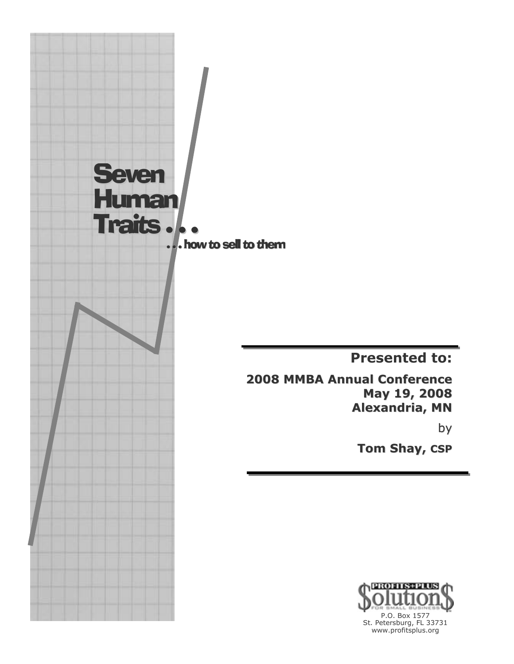

**Presented to:** 

**2008 MMBA Annual Conference** May 19, 2008 **Alexandria, MN** 

by

**Tom Shay, CSP** 

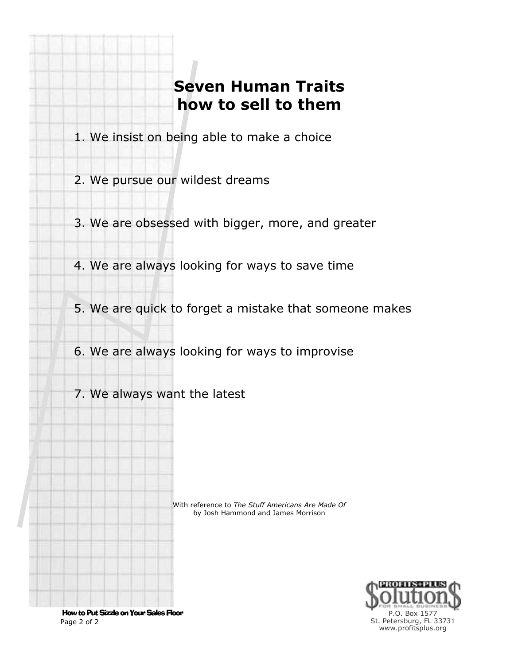## **Seven Human Traits how to sell to them**

- 1. We insist on being able to make a choice
- 2. We pursue our wildest dreams
- 3. We are obsessed with bigger, more, and greater
- 4. We are always looking for ways to save time
- 5. We are quick to forget a mistake that someone makes
- 6. We are always looking for ways to improvise
- 7. We always want the latest

With reference to *The Stuff Americans Are Made Of* by Josh Hammond and James Morrison



 How to Put Sizzle on Your Sales Floor Page 2 of 2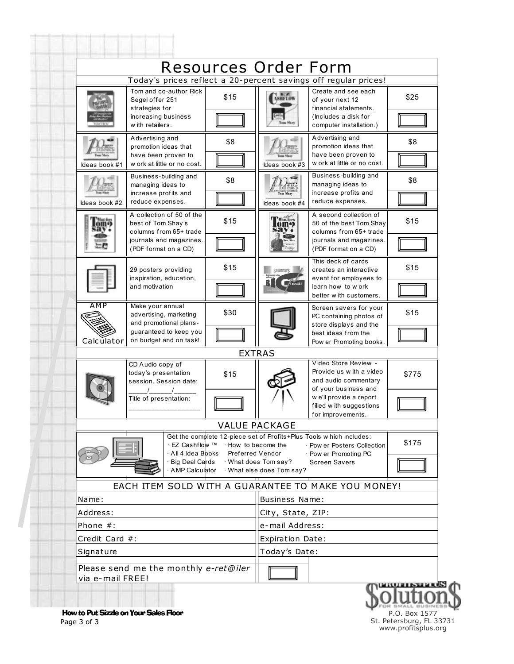|                                                                                                                                                       | Today's prices reflect a 20-percent savings off regular prices!           |      | Resources Order Form                            |                                                                                                                                |       |
|-------------------------------------------------------------------------------------------------------------------------------------------------------|---------------------------------------------------------------------------|------|-------------------------------------------------|--------------------------------------------------------------------------------------------------------------------------------|-------|
|                                                                                                                                                       | Tom and co-author Rick                                                    |      |                                                 | Create and see each                                                                                                            |       |
|                                                                                                                                                       | Segel offer 251<br>strategies for                                         | \$15 | <b>NEZ</b><br>ASHFLOW                           | of your next 12<br>financial statements.                                                                                       | \$25  |
|                                                                                                                                                       | increasing business<br>w ith retailers.                                   |      |                                                 | (Includes a disk for<br>computer installation.)                                                                                |       |
|                                                                                                                                                       | Advertising and<br>promotion ideas that                                   | \$8  |                                                 | Advertising and<br>promotion ideas that                                                                                        | \$8   |
| Ideas book #1                                                                                                                                         | have been proven to<br>w ork at little or no cost.                        |      | Ideas book #3                                   | have been proven to<br>w ork at little or no cost.                                                                             |       |
|                                                                                                                                                       | Business-building and<br>managing ideas to                                | \$8  |                                                 | Business-building and<br>managing ideas to                                                                                     | \$8   |
| Ideas book #2                                                                                                                                         | increase profits and<br>reduce expenses.                                  |      | Ideas book #4                                   | increase profits and<br>reduce expenses.                                                                                       |       |
|                                                                                                                                                       | A collection of 50 of the<br>best of Tom Shay's<br>columns from 65+ trade | \$15 | <b>What does</b>                                | A second collection of<br>50 of the best Tom Shay<br>columns from 65+ trade<br>journals and magazines.<br>(PDF format on a CD) | \$15  |
|                                                                                                                                                       | journals and magazines.<br>(PDF format on a CD)                           |      |                                                 |                                                                                                                                |       |
|                                                                                                                                                       | 29 posters providing<br>inspiration, education,<br>and motivation         | \$15 |                                                 | This deck of cards<br>creates an interactive                                                                                   | \$15  |
|                                                                                                                                                       |                                                                           |      |                                                 | event for employees to<br>learn how to w ork<br>better w ith customers.                                                        |       |
| <b>AMP</b>                                                                                                                                            | Make your annual<br>advertising, marketing                                | \$30 |                                                 | Screen savers for your<br>PC containing photos of                                                                              | \$15  |
|                                                                                                                                                       | and promotional plans-<br>guaranteed to keep you                          |      |                                                 | store displays and the<br>best ideas from the                                                                                  |       |
| Calculator                                                                                                                                            | on budget and on task!                                                    |      | <b>EXTRAS</b>                                   | Pow er Promoting books                                                                                                         |       |
|                                                                                                                                                       | CD Audio copy of                                                          |      |                                                 | Video Store Review -                                                                                                           |       |
|                                                                                                                                                       | today's presentation<br>session. Session date:                            | \$15 |                                                 | Provide us w ith a video<br>and audio commentary                                                                               | \$775 |
|                                                                                                                                                       |                                                                           |      |                                                 | of your business and<br>w e'll provide a report                                                                                |       |
|                                                                                                                                                       | Title of presentation:                                                    |      |                                                 | filled w ith suggestions<br>for improvements.                                                                                  |       |
|                                                                                                                                                       |                                                                           |      | VALUE PACKAGE                                   |                                                                                                                                |       |
| Get the complete 12-piece set of Profits+Plus Tools w hich includes:<br>· EZ Cashflow ™ · How to become the<br>· All 4 Idea Books<br>Preferred Vendor |                                                                           |      |                                                 | · Pow er Posters Collection<br>· Pow er Promoting PC                                                                           | \$175 |
|                                                                                                                                                       | Big Deal Cards<br>AMP Calculator                                          |      | · What does Tom say?<br>What else does Tom say? | <b>Screen Savers</b>                                                                                                           |       |
|                                                                                                                                                       |                                                                           |      |                                                 | EACH ITEM SOLD WITH A GUARANTEE TO MAKE YOU MONEY!                                                                             |       |
| Name:                                                                                                                                                 |                                                                           |      | <b>Business Name:</b>                           |                                                                                                                                |       |
| Address:                                                                                                                                              |                                                                           |      | City, State, ZIP:                               |                                                                                                                                |       |
| Phone $#$ :                                                                                                                                           |                                                                           |      | e-mail Address:                                 |                                                                                                                                |       |
| Credit Card #:                                                                                                                                        |                                                                           |      | <b>Expiration Date:</b>                         |                                                                                                                                |       |
| Signature                                                                                                                                             |                                                                           |      | Today's Date:                                   |                                                                                                                                |       |
| via e-mail FREE!                                                                                                                                      | Please send me the monthly e-ret@iler                                     |      |                                                 |                                                                                                                                |       |

**The Communication** 

P.O. Box 1577 St. Petersburg, FL 33731 www.profitsplus.org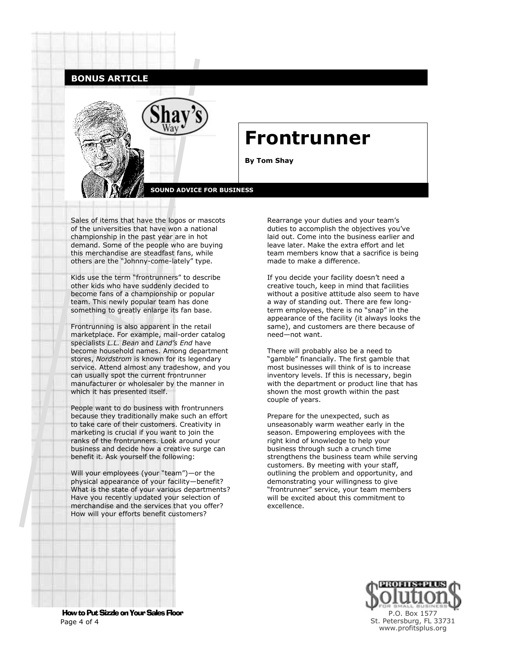## **BONUS ARTICLE**



Sales of items that have the logos or mascots of the universities that have won a national championship in the past year are in hot demand. Some of the people who are buying this merchandise are steadfast fans, while others are the "Johnny-come-lately" type.

Kids use the term "frontrunners" to describe other kids who have suddenly decided to become fans of a championship or popular team. This newly popular team has done something to greatly enlarge its fan base.

Frontrunning is also apparent in the retail marketplace. For example, mail-order catalog specialists *L.L. Bean* and *Land's End* have become household names. Among department stores, *Nordstrom* is known for its legendary service. Attend almost any tradeshow, and you can usually spot the current frontrunner manufacturer or wholesaler by the manner in which it has presented itself.

People want to do business with frontrunners because they traditionally make such an effort to take care of their customers. Creativity in marketing is crucial if you want to join the ranks of the frontrunners. Look around your business and decide how a creative surge can benefit it. Ask yourself the following:

Will your employees (your "team")—or the physical appearance of your facility—benefit? What is the state of your various departments? Have you recently updated your selection of merchandise and the services that you offer? How will your efforts benefit customers?

Rearrange your duties and your team's duties to accomplish the objectives you've laid out. Come into the business earlier and leave later. Make the extra effort and let team members know that a sacrifice is being made to make a difference.

If you decide your facility doesn't need a creative touch, keep in mind that facilities without a positive attitude also seem to have a way of standing out. There are few longterm employees, there is no "snap" in the appearance of the facility (it always looks the same), and customers are there because of need—not want.

There will probably also be a need to "gamble" financially. The first gamble that most businesses will think of is to increase inventory levels. If this is necessary, begin with the department or product line that has shown the most growth within the past couple of years.

Prepare for the unexpected, such as unseasonably warm weather early in the season. Empowering employees with the right kind of knowledge to help your business through such a crunch time strengthens the business team while serving customers. By meeting with your staff, outlining the problem and opportunity, and demonstrating your willingness to give "frontrunner" service, your team members will be excited about this commitment to excellence.



 How to Put Sizzle on Your Sales Floor Page 4 of 4